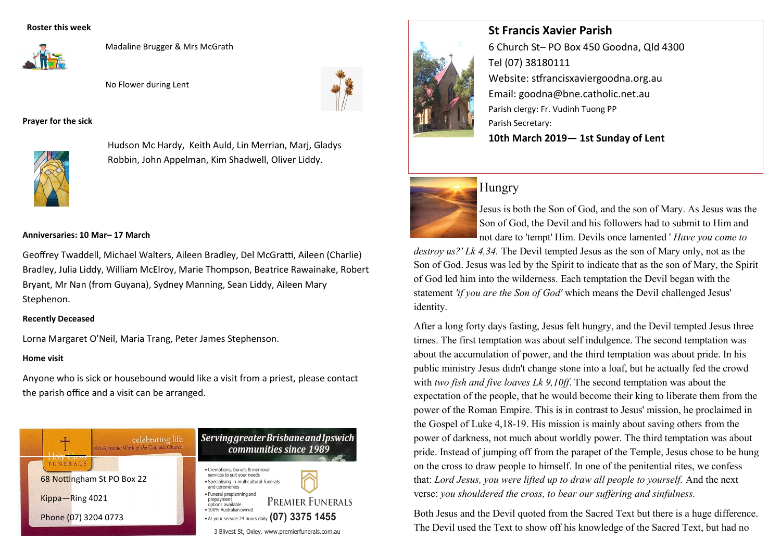#### **Roster this week**



Madaline Brugger & Mrs McGrath

No Flower during Lent



#### **Prayer for the sick**



Hudson Mc Hardy, Keith Auld, Lin Merrian, Marj, Gladys Robbin, John Appelman, Kim Shadwell, Oliver Liddy.

#### **Anniversaries: 10 Mar– 17 March**

Geoffrey Twaddell, Michael Walters, Aileen Bradley, Del McGratti, Aileen (Charlie) Bradley, Julia Liddy, William McElroy, Marie Thompson, Beatrice Rawainake, Robert Bryant, Mr Nan (from Guyana), Sydney Manning, Sean Liddy, Aileen Mary Stephenon.

#### **Recently Deceased**

Lorna Margaret O'Neil, Maria Trang, Peter James Stephenson.

#### **Home visit**

Anyone who is sick or housebound would like a visit from a priest, please contact the parish office and a visit can be arranged.





# 6 Church St– PO Box 450 Goodna, Qld 4300 Tel (07) 38180111 Website: stfrancisxaviergoodna.org.au Email: goodna@bne.catholic.net.au Parish clergy: Fr. Vudinh Tuong PP Parish Secretary: **10th March 2019— 1st Sunday of Lent**

# Hungry



Jesus is both the Son of God, and the son of Mary. As Jesus was the Son of God, the Devil and his followers had to submit to Him and not dare to 'tempt' Him. Devils once lamented ' *Have you come to* 

*destroy us?' Lk 4,34.* The Devil tempted Jesus as the son of Mary only, not as the Son of God. Jesus was led by the Spirit to indicate that as the son of Mary, the Spirit of God led him into the wilderness. Each temptation the Devil began with the statement *'if you are the Son of God'* which means the Devil challenged Jesus' identity.

After a long forty days fasting, Jesus felt hungry, and the Devil tempted Jesus three times. The first temptation was about self indulgence. The second temptation was about the accumulation of power, and the third temptation was about pride. In his public ministry Jesus didn't change stone into a loaf, but he actually fed the crowd with *two fish and five loaves Lk 9,10ff*. The second temptation was about the expectation of the people, that he would become their king to liberate them from the power of the Roman Empire. This is in contrast to Jesus' mission, he proclaimed in the Gospel of Luke 4,18-19. His mission is mainly about saving others from the power of darkness, not much about worldly power. The third temptation was about pride. Instead of jumping off from the parapet of the Temple, Jesus chose to be hung on the cross to draw people to himself. In one of the penitential rites, we confess that: *Lord Jesus, you were lifted up to draw all people to yourself.* And the next verse: *you shouldered the cross, to bear our suffering and sinfulness.* 

Both Jesus and the Devil quoted from the Sacred Text but there is a huge difference. The Devil used the Text to show off his knowledge of the Sacred Text, but had no